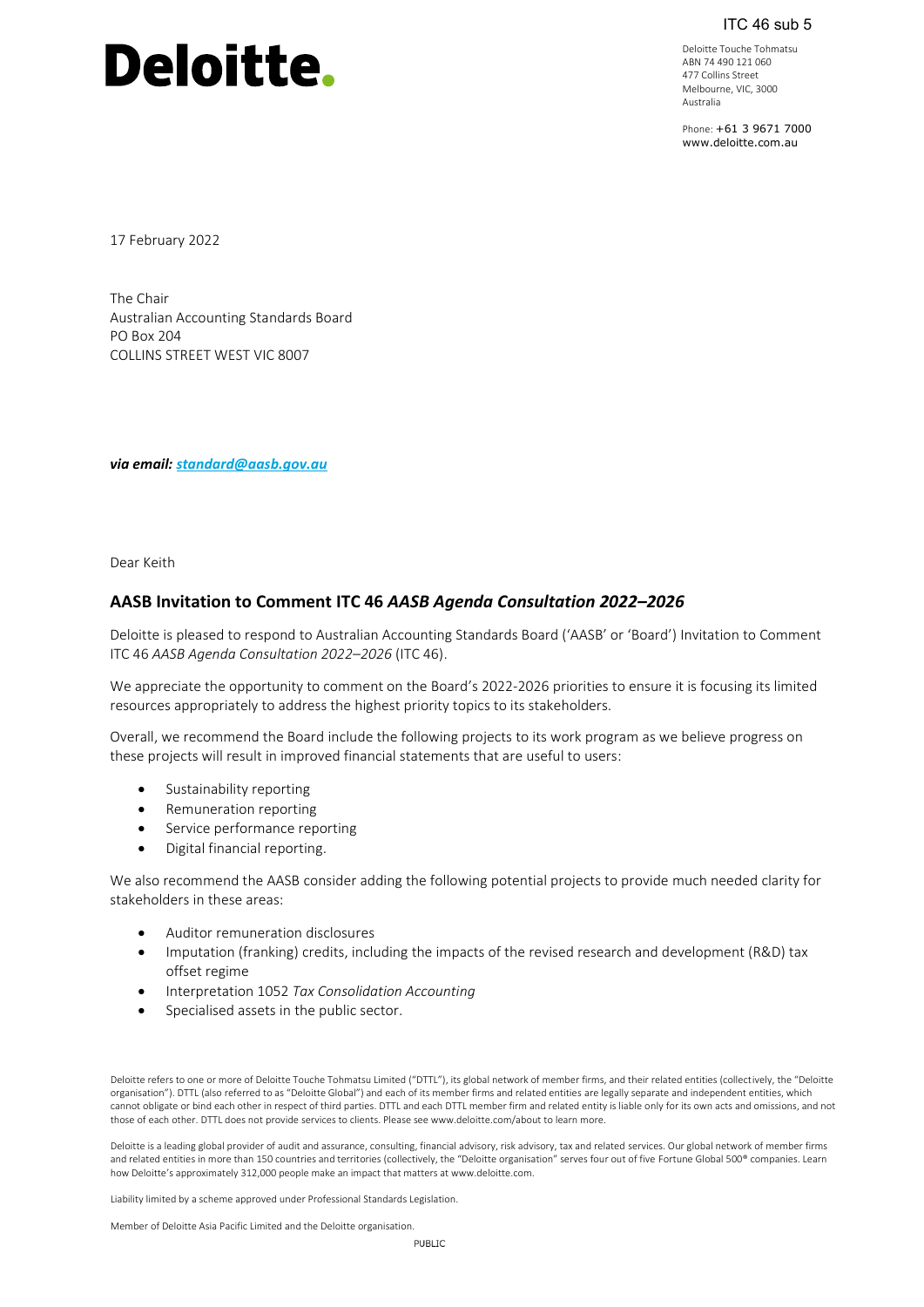Deloitte Touche Tohmatsu ABN 74 490 121 060 477 Collins Street Melbourne, VIC, 3000 Australia

ITC 46 sub 5

Phone: +61 3 9671 7000 www.deloitte.com.au

17 February 2022

The Chair Australian Accounting Standards Board PO Box 204 COLLINS STREET WEST VIC 8007

*via email: [standard@aasb.gov.au](mailto:standard@aasb.gov.au)*

Dear Keith

# **AASB Invitation to Comment ITC 46** *AASB Agenda Consultation 2022–2026*

Deloitte is pleased to respond to Australian Accounting Standards Board ('AASB' or 'Board') Invitation to Comment ITC 46 *AASB Agenda Consultation 2022–2026* (ITC 46).

We appreciate the opportunity to comment on the Board's 2022-2026 priorities to ensure it is focusing its limited resources appropriately to address the highest priority topics to its stakeholders.

Overall, we recommend the Board include the following projects to its work program as we believe progress on these projects will result in improved financial statements that are useful to users:

- Sustainability reporting
- Remuneration reporting
- Service performance reporting
- Digital financial reporting.

We also recommend the AASB consider adding the following potential projects to provide much needed clarity for stakeholders in these areas:

- Auditor remuneration disclosures
- Imputation (franking) credits, including the impacts of the revised research and development (R&D) tax offset regime
- Interpretation 1052 *Tax Consolidation Accounting*
- Specialised assets in the public sector.

Deloitte refers to one or more of Deloitte Touche Tohmatsu Limited ("DTTL"), its global network of member firms, and their related entities (collectively, the "Deloitte organisation"). DTTL (also referred to as "Deloitte Global") and each of its member firms and related entities are legally separate and independent entities, which cannot obligate or bind each other in respect of third parties. DTTL and each DTTL member firm and related entity is liable only for its own acts and omissions, and not those of each other. DTTL does not provide services to clients. Please see www.deloitte.com/about to learn more.

Deloitte is a leading global provider of audit and assurance, consulting, financial advisory, risk advisory, tax and related services. Our global network of member firms and related entities in more than 150 countries and territories (collectively, the "Deloitte organisation" serves four out of five Fortune Global 500® companies. Learn how Deloitte's approximately 312,000 people make an impact that matters at www.deloitte.com.

Liability limited by a scheme approved under Professional Standards Legislation.

Member of Deloitte Asia Pacific Limited and the Deloitte organisation.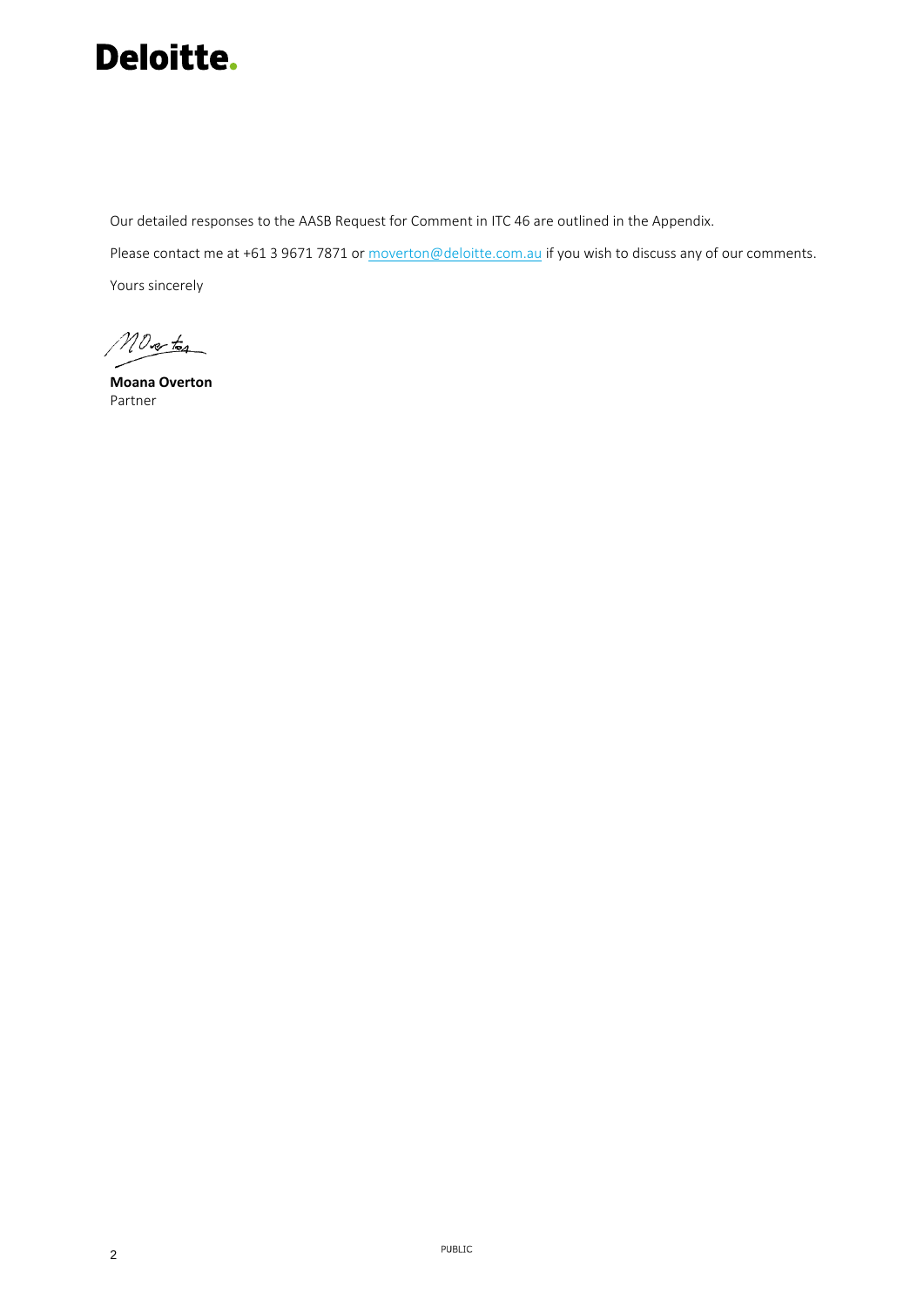

Our detailed responses to the AASB Request for Comment in ITC 46 are outlined in the Appendix.

Please contact me at +61 3 9671 7871 o[r moverton@deloitte.com.au](mailto:moverton@deloitte.com.au) if you wish to discuss any of our comments.

Yours sincerely

Mortes

**Moana Overton** Partner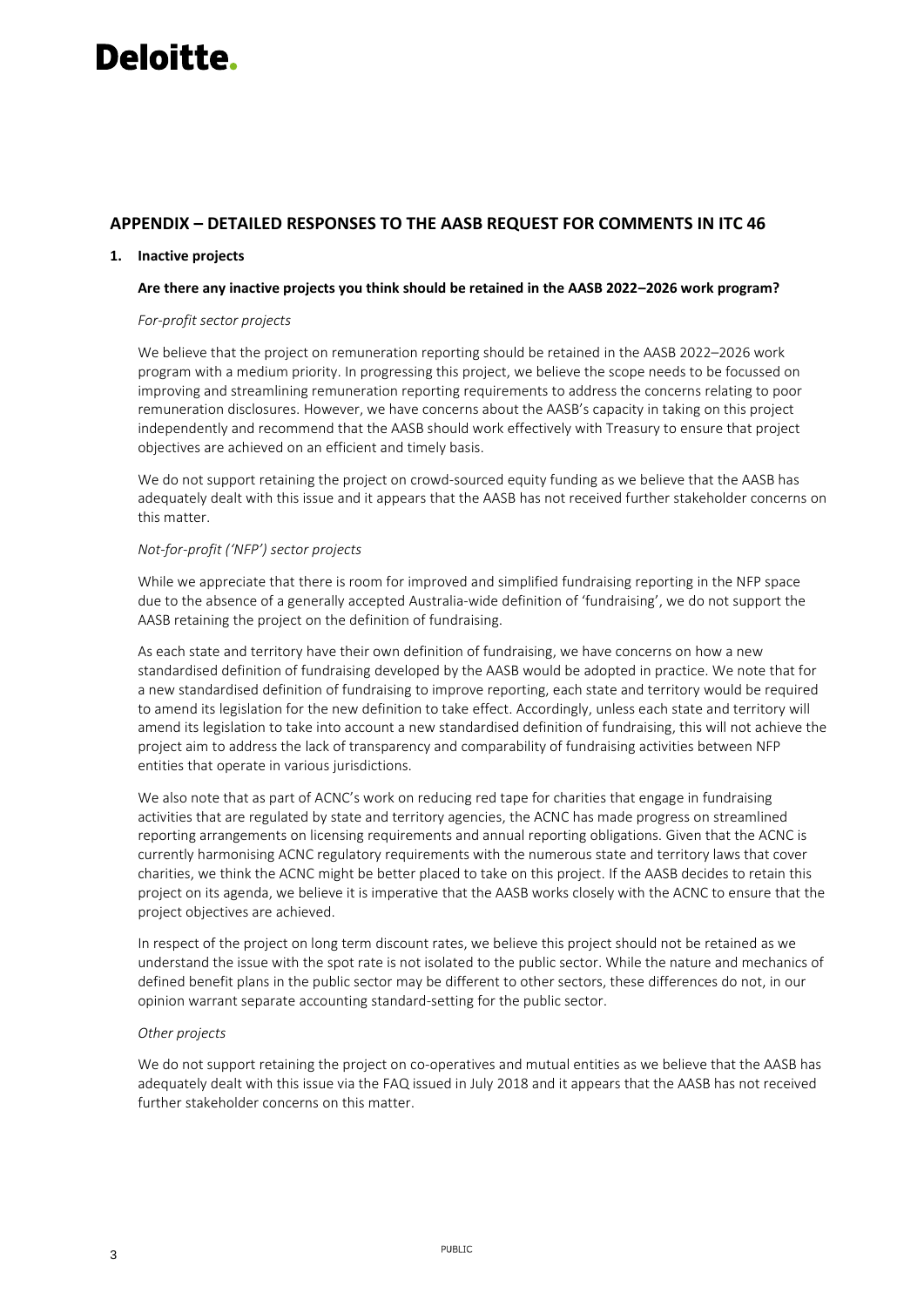# **APPENDIX – DETAILED RESPONSES TO THE AASB REQUEST FOR COMMENTS IN ITC 46**

#### **1. Inactive projects**

#### **Are there any inactive projects you think should be retained in the AASB 2022–2026 work program?**

#### *For-profit sector projects*

We believe that the project on remuneration reporting should be retained in the AASB 2022–2026 work program with a medium priority. In progressing this project, we believe the scope needs to be focussed on improving and streamlining remuneration reporting requirements to address the concerns relating to poor remuneration disclosures. However, we have concerns about the AASB's capacity in taking on this project independently and recommend that the AASB should work effectively with Treasury to ensure that project objectives are achieved on an efficient and timely basis.

We do not support retaining the project on crowd-sourced equity funding as we believe that the AASB has adequately dealt with this issue and it appears that the AASB has not received further stakeholder concerns on this matter.

#### *Not-for-profit ('NFP') sector projects*

While we appreciate that there is room for improved and simplified fundraising reporting in the NFP space due to the absence of a generally accepted Australia-wide definition of 'fundraising', we do not support the AASB retaining the project on the definition of fundraising.

As each state and territory have their own definition of fundraising, we have concerns on how a new standardised definition of fundraising developed by the AASB would be adopted in practice. We note that for a new standardised definition of fundraising to improve reporting, each state and territory would be required to amend its legislation for the new definition to take effect. Accordingly, unless each state and territory will amend its legislation to take into account a new standardised definition of fundraising, this will not achieve the project aim to address the lack of transparency and comparability of fundraising activities between NFP entities that operate in various jurisdictions.

We also note that as part of ACNC's work on reducing red tape for charities that engage in fundraising activities that are regulated by state and territory agencies, the ACNC has made progress on streamlined reporting arrangements on licensing requirements and annual reporting obligations. Given that the ACNC is currently harmonising ACNC regulatory requirements with the numerous state and territory laws that cover charities, we think the ACNC might be better placed to take on this project. If the AASB decides to retain this project on its agenda, we believe it is imperative that the AASB works closely with the ACNC to ensure that the project objectives are achieved.

In respect of the project on long term discount rates, we believe this project should not be retained as we understand the issue with the spot rate is not isolated to the public sector. While the nature and mechanics of defined benefit plans in the public sector may be different to other sectors, these differences do not, in our opinion warrant separate accounting standard-setting for the public sector.

# *Other projects*

We do not support retaining the project on co-operatives and mutual entities as we believe that the AASB has adequately dealt with this issue via the FAQ issued in July 2018 and it appears that the AASB has not received further stakeholder concerns on this matter.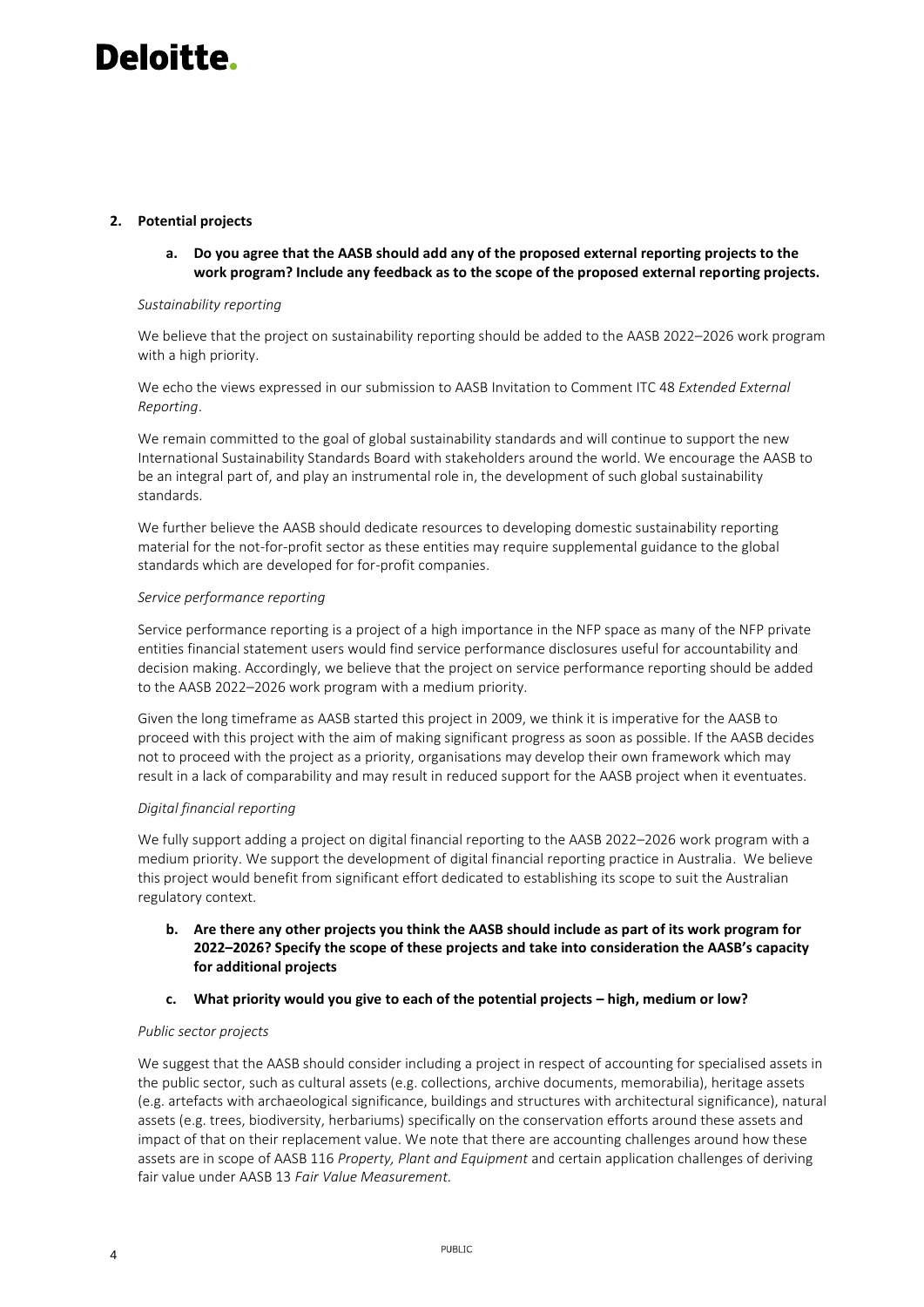# **2. Potential projects**

**a. Do you agree that the AASB should add any of the proposed external reporting projects to the work program? Include any feedback as to the scope of the proposed external reporting projects.**

# *Sustainability reporting*

We believe that the project on sustainability reporting should be added to the AASB 2022–2026 work program with a high priority.

We echo the views expressed in our submission to AASB Invitation to Comment ITC 48 *Extended External Reporting*.

We remain committed to the goal of global sustainability standards and will continue to support the new International Sustainability Standards Board with stakeholders around the world. We encourage the AASB to be an integral part of, and play an instrumental role in, the development of such global sustainability standards.

We further believe the AASB should dedicate resources to developing domestic sustainability reporting material for the not-for-profit sector as these entities may require supplemental guidance to the global standards which are developed for for-profit companies.

#### *Service performance reporting*

Service performance reporting is a project of a high importance in the NFP space as many of the NFP private entities financial statement users would find service performance disclosures useful for accountability and decision making. Accordingly, we believe that the project on service performance reporting should be added to the AASB 2022–2026 work program with a medium priority.

Given the long timeframe as AASB started this project in 2009, we think it is imperative for the AASB to proceed with this project with the aim of making significant progress as soon as possible. If the AASB decides not to proceed with the project as a priority, organisations may develop their own framework which may result in a lack of comparability and may result in reduced support for the AASB project when it eventuates.

# *Digital financial reporting*

We fully support adding a project on digital financial reporting to the AASB 2022–2026 work program with a medium priority. We support the development of digital financial reporting practice in Australia. We believe this project would benefit from significant effort dedicated to establishing its scope to suit the Australian regulatory context.

**b. Are there any other projects you think the AASB should include as part of its work program for 2022–2026? Specify the scope of these projects and take into consideration the AASB's capacity for additional projects**

# **c. What priority would you give to each of the potential projects – high, medium or low?**

#### *Public sector projects*

We suggest that the AASB should consider including a project in respect of accounting for specialised assets in the public sector, such as cultural assets (e.g. collections, archive documents, memorabilia), heritage assets (e.g. artefacts with archaeological significance, buildings and structures with architectural significance), natural assets (e.g. trees, biodiversity, herbariums) specifically on the conservation efforts around these assets and impact of that on their replacement value. We note that there are accounting challenges around how these assets are in scope of AASB 116 *Property, Plant and Equipment* and certain application challenges of deriving fair value under AASB 13 *Fair Value Measurement.*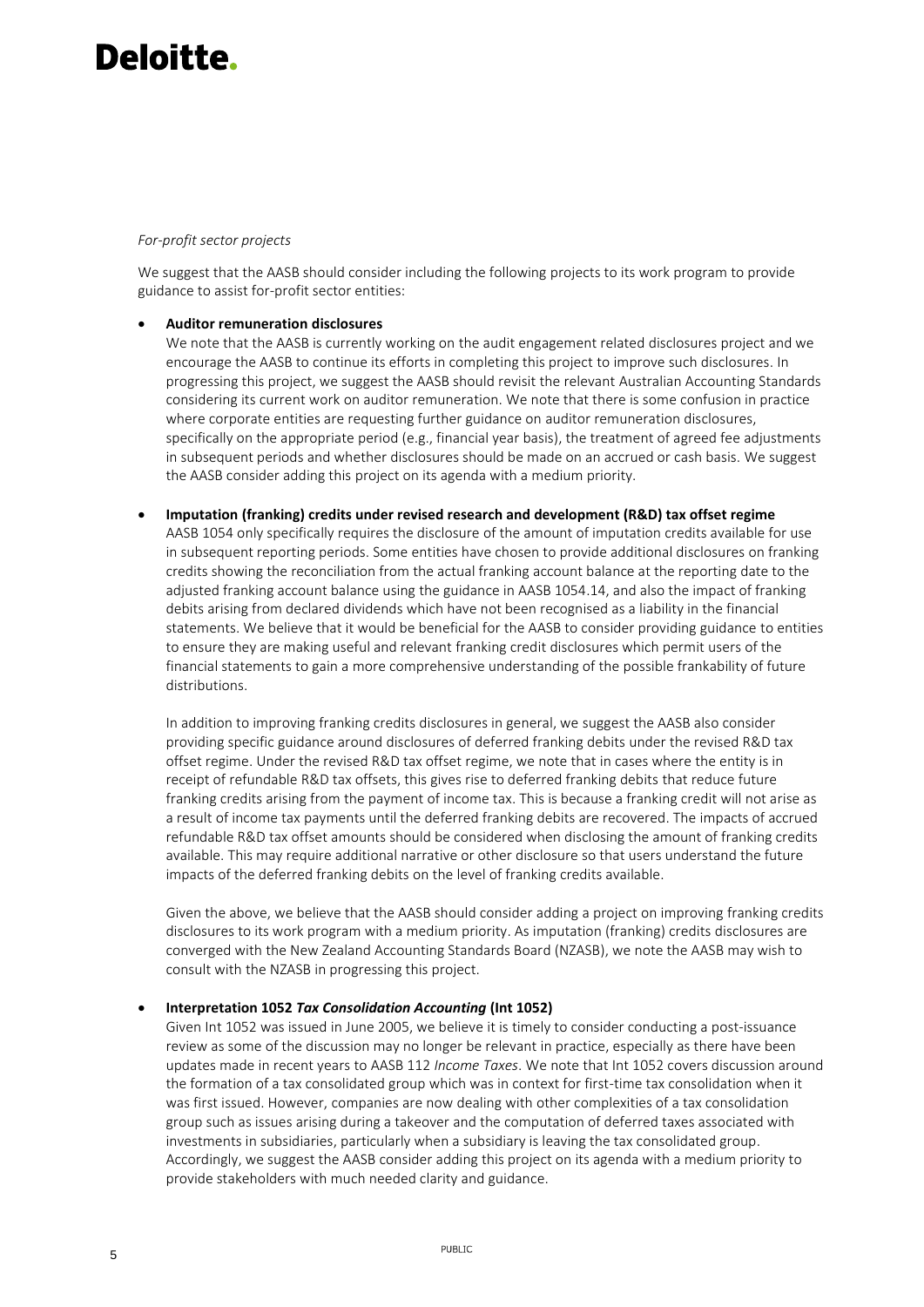#### *For-profit sector projects*

We suggest that the AASB should consider including the following projects to its work program to provide guidance to assist for-profit sector entities:

# • **Auditor remuneration disclosures**

We note that the AASB is currently working on the audit engagement related disclosures project and we encourage the AASB to continue its efforts in completing this project to improve such disclosures. In progressing this project, we suggest the AASB should revisit the relevant Australian Accounting Standards considering its current work on auditor remuneration. We note that there is some confusion in practice where corporate entities are requesting further guidance on auditor remuneration disclosures, specifically on the appropriate period (e.g., financial year basis), the treatment of agreed fee adjustments in subsequent periods and whether disclosures should be made on an accrued or cash basis. We suggest the AASB consider adding this project on its agenda with a medium priority.

• **Imputation (franking) credits under revised research and development (R&D) tax offset regime**

AASB 1054 only specifically requires the disclosure of the amount of imputation credits available for use in subsequent reporting periods. Some entities have chosen to provide additional disclosures on franking credits showing the reconciliation from the actual franking account balance at the reporting date to the adjusted franking account balance using the guidance in AASB 1054.14, and also the impact of franking debits arising from declared dividends which have not been recognised as a liability in the financial statements. We believe that it would be beneficial for the AASB to consider providing guidance to entities to ensure they are making useful and relevant franking credit disclosures which permit users of the financial statements to gain a more comprehensive understanding of the possible frankability of future distributions.

In addition to improving franking credits disclosures in general, we suggest the AASB also consider providing specific guidance around disclosures of deferred franking debits under the revised R&D tax offset regime. Under the revised R&D tax offset regime, we note that in cases where the entity is in receipt of refundable R&D tax offsets, this gives rise to deferred franking debits that reduce future franking credits arising from the payment of income tax. This is because a franking credit will not arise as a result of income tax payments until the deferred franking debits are recovered. The impacts of accrued refundable R&D tax offset amounts should be considered when disclosing the amount of franking credits available. This may require additional narrative or other disclosure so that users understand the future impacts of the deferred franking debits on the level of franking credits available.

Given the above, we believe that the AASB should consider adding a project on improving franking credits disclosures to its work program with a medium priority. As imputation (franking) credits disclosures are converged with the New Zealand Accounting Standards Board (NZASB), we note the AASB may wish to consult with the NZASB in progressing this project.

# • **Interpretation 1052** *Tax Consolidation Accounting* **(Int 1052)**

Given Int 1052 was issued in June 2005, we believe it is timely to consider conducting a post-issuance review as some of the discussion may no longer be relevant in practice, especially as there have been updates made in recent years to AASB 112 *Income Taxes*. We note that Int 1052 covers discussion around the formation of a tax consolidated group which was in context for first-time tax consolidation when it was first issued. However, companies are now dealing with other complexities of a tax consolidation group such as issues arising during a takeover and the computation of deferred taxes associated with investments in subsidiaries, particularly when a subsidiary is leaving the tax consolidated group. Accordingly, we suggest the AASB consider adding this project on its agenda with a medium priority to provide stakeholders with much needed clarity and guidance.